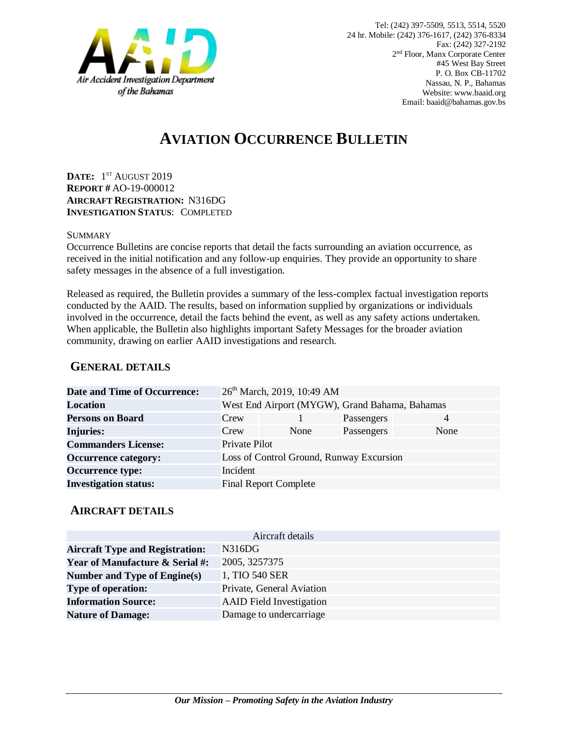

# **AVIATION OCCURRENCE BULLETIN**

**DATE:** 1 ST AUGUST 2019 **REPORT #** AO-19-000012 **AIRCRAFT REGISTRATION:** N316DG **INVESTIGATION STATUS**: COMPLETED

#### SUMMARY

Occurrence Bulletins are concise reports that detail the facts surrounding an aviation occurrence, as received in the initial notification and any follow-up enquiries. They provide an opportunity to share safety messages in the absence of a full investigation*.*

Released as required, the Bulletin provides a summary of the less-complex factual investigation reports conducted by the AAID. The results, based on information supplied by organizations or individuals involved in the occurrence, detail the facts behind the event, as well as any safety actions undertaken. When applicable, the Bulletin also highlights important Safety Messages for the broader aviation community, drawing on earlier AAID investigations and research.

### **GENERAL DETAILS**

| <b>Date and Time of Occurrence:</b> |                                                | 26 <sup>th</sup> March, 2019, 10:49 AM   |            |                |
|-------------------------------------|------------------------------------------------|------------------------------------------|------------|----------------|
| Location                            | West End Airport (MYGW), Grand Bahama, Bahamas |                                          |            |                |
| <b>Persons on Board</b>             | Crew                                           |                                          | Passengers | $\overline{4}$ |
| <b>Injuries:</b>                    | Crew                                           | None                                     | Passengers | None           |
| <b>Commanders License:</b>          | Private Pilot                                  |                                          |            |                |
| <b>Occurrence category:</b>         |                                                | Loss of Control Ground, Runway Excursion |            |                |
| <b>Occurrence type:</b>             | Incident                                       |                                          |            |                |
| <b>Investigation status:</b>        |                                                | <b>Final Report Complete</b>             |            |                |

#### **AIRCRAFT DETAILS**

| Aircraft details                           |                                 |  |  |  |
|--------------------------------------------|---------------------------------|--|--|--|
| <b>Aircraft Type and Registration:</b>     | N316DG                          |  |  |  |
| <b>Year of Manufacture &amp; Serial #:</b> | 2005, 3257375                   |  |  |  |
| Number and Type of Engine(s)               | 1, TIO 540 SER                  |  |  |  |
| <b>Type of operation:</b>                  | Private, General Aviation       |  |  |  |
| <b>Information Source:</b>                 | <b>AAID</b> Field Investigation |  |  |  |
| <b>Nature of Damage:</b>                   | Damage to undercarriage         |  |  |  |